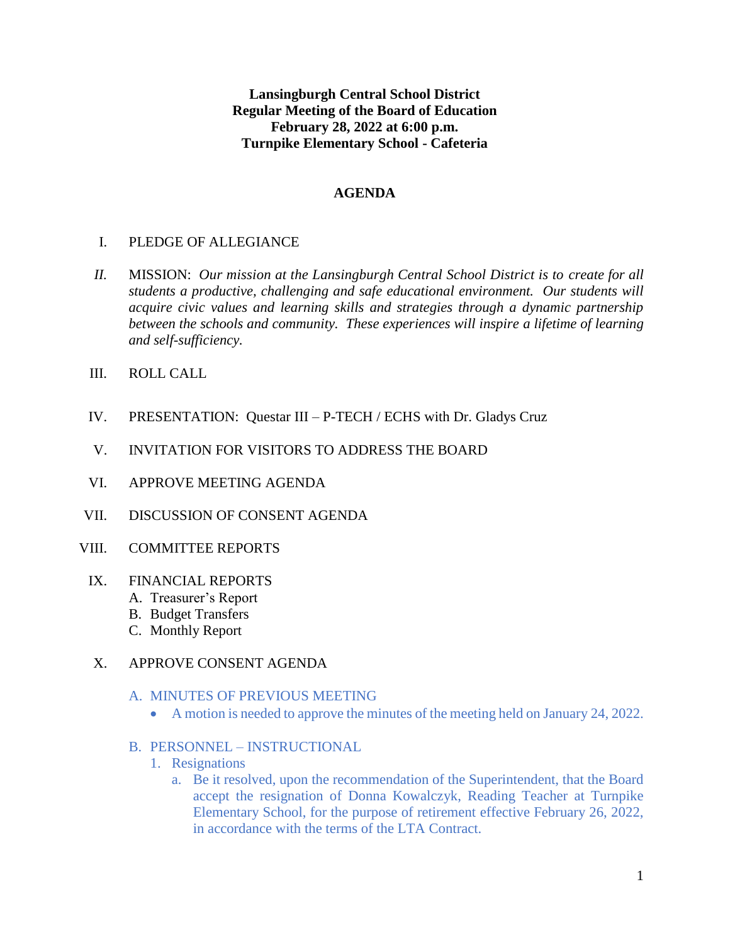**Lansingburgh Central School District Regular Meeting of the Board of Education February 28, 2022 at 6:00 p.m. Turnpike Elementary School - Cafeteria**

### **AGENDA**

## I. PLEDGE OF ALLEGIANCE

- *II.* MISSION: *Our mission at the Lansingburgh Central School District is to create for all students a productive, challenging and safe educational environment. Our students will acquire civic values and learning skills and strategies through a dynamic partnership between the schools and community. These experiences will inspire a lifetime of learning and self-sufficiency.*
- III. ROLL CALL
- IV. PRESENTATION: Questar III P-TECH / ECHS with Dr. Gladys Cruz
- V. INVITATION FOR VISITORS TO ADDRESS THE BOARD
- VI. APPROVE MEETING AGENDA
- VII. DISCUSSION OF CONSENT AGENDA
- VIII. COMMITTEE REPORTS
- IX. FINANCIAL REPORTS
	- A. Treasurer's Report
	- B. Budget Transfers
	- C. Monthly Report

### X. APPROVE CONSENT AGENDA

- A. MINUTES OF PREVIOUS MEETING
	- A motion is needed to approve the minutes of the meeting held on January 24, 2022.
- B. PERSONNEL INSTRUCTIONAL
	- 1. Resignations
		- a. Be it resolved, upon the recommendation of the Superintendent, that the Board accept the resignation of Donna Kowalczyk, Reading Teacher at Turnpike Elementary School, for the purpose of retirement effective February 26, 2022, in accordance with the terms of the LTA Contract.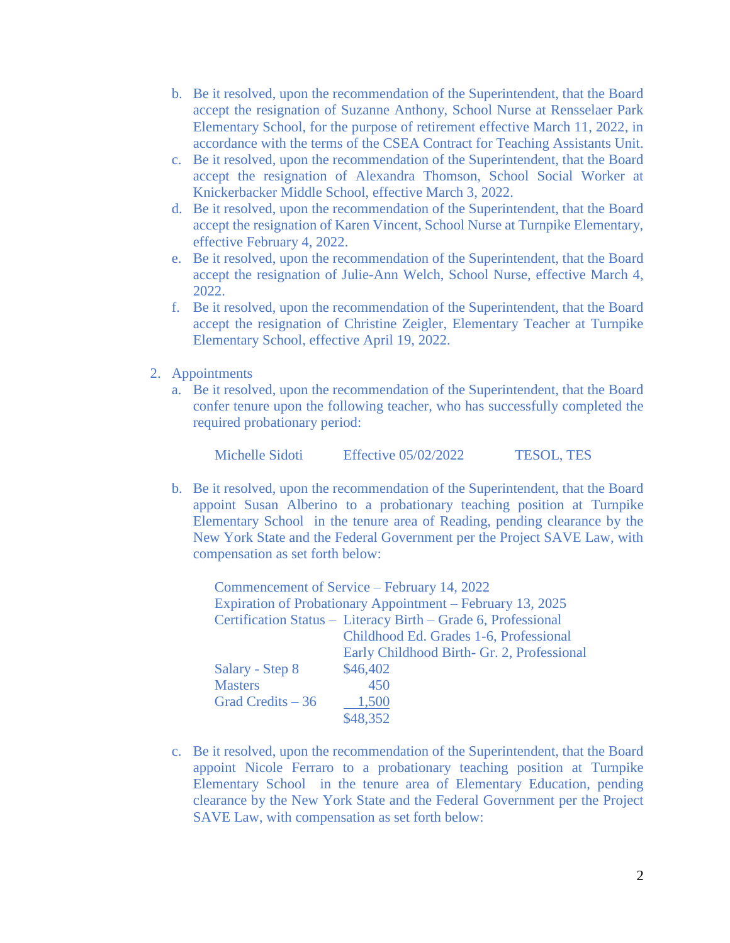- b. Be it resolved, upon the recommendation of the Superintendent, that the Board accept the resignation of Suzanne Anthony, School Nurse at Rensselaer Park Elementary School, for the purpose of retirement effective March 11, 2022, in accordance with the terms of the CSEA Contract for Teaching Assistants Unit.
- c. Be it resolved, upon the recommendation of the Superintendent, that the Board accept the resignation of Alexandra Thomson, School Social Worker at Knickerbacker Middle School, effective March 3, 2022.
- d. Be it resolved, upon the recommendation of the Superintendent, that the Board accept the resignation of Karen Vincent, School Nurse at Turnpike Elementary, effective February 4, 2022.
- e. Be it resolved, upon the recommendation of the Superintendent, that the Board accept the resignation of Julie-Ann Welch, School Nurse, effective March 4, 2022.
- f. Be it resolved, upon the recommendation of the Superintendent, that the Board accept the resignation of Christine Zeigler, Elementary Teacher at Turnpike Elementary School, effective April 19, 2022.
- 2. Appointments
	- a. Be it resolved, upon the recommendation of the Superintendent, that the Board confer tenure upon the following teacher, who has successfully completed the required probationary period:

Michelle Sidoti Effective 05/02/2022 TESOL, TES

b. Be it resolved, upon the recommendation of the Superintendent, that the Board appoint Susan Alberino to a probationary teaching position at Turnpike Elementary School in the tenure area of Reading, pending clearance by the New York State and the Federal Government per the Project SAVE Law, with compensation as set forth below:

| Commencement of Service – February 14, 2022                |                                                               |  |  |
|------------------------------------------------------------|---------------------------------------------------------------|--|--|
| Expiration of Probationary Appointment – February 13, 2025 |                                                               |  |  |
|                                                            | Certification Status - Literacy Birth - Grade 6, Professional |  |  |
|                                                            | Childhood Ed. Grades 1-6, Professional                        |  |  |
|                                                            | Early Childhood Birth- Gr. 2, Professional                    |  |  |
| Salary - Step 8                                            | \$46,402                                                      |  |  |
| <b>Masters</b>                                             | 450                                                           |  |  |
| Grad Credits $-36$                                         | 1,500                                                         |  |  |
|                                                            | 48.352                                                        |  |  |

c. Be it resolved, upon the recommendation of the Superintendent, that the Board appoint Nicole Ferraro to a probationary teaching position at Turnpike Elementary School in the tenure area of Elementary Education, pending clearance by the New York State and the Federal Government per the Project SAVE Law, with compensation as set forth below: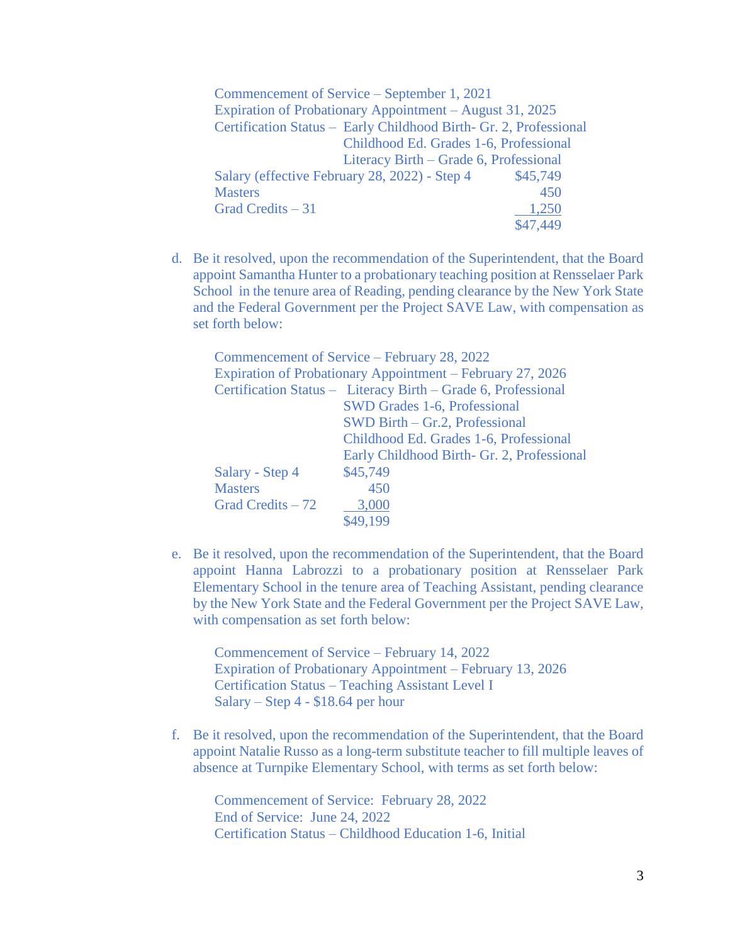| Commencement of Service – September 1, 2021                       |          |  |  |
|-------------------------------------------------------------------|----------|--|--|
| Expiration of Probationary Appointment – August 31, 2025          |          |  |  |
| Certification Status - Early Childhood Birth- Gr. 2, Professional |          |  |  |
| Childhood Ed. Grades 1-6, Professional                            |          |  |  |
| Literacy Birth – Grade 6, Professional                            |          |  |  |
| Salary (effective February 28, 2022) - Step 4                     | \$45,749 |  |  |
| <b>Masters</b>                                                    | 450      |  |  |
| Grad Credits $-31$                                                | 1,250    |  |  |
|                                                                   | \$47.449 |  |  |

d. Be it resolved, upon the recommendation of the Superintendent, that the Board appoint Samantha Hunter to a probationary teaching position at Rensselaer Park School in the tenure area of Reading, pending clearance by the New York State and the Federal Government per the Project SAVE Law, with compensation as set forth below:

| Commencement of Service – February 28, 2022                   |
|---------------------------------------------------------------|
| Expiration of Probationary Appointment – February 27, 2026    |
| Certification Status - Literacy Birth - Grade 6, Professional |
| <b>SWD Grades 1-6, Professional</b>                           |
| $SWD Birth - Gr.2, Professional$                              |
| Childhood Ed. Grades 1-6, Professional                        |
| Early Childhood Birth- Gr. 2, Professional                    |
| \$45,749                                                      |
| 450                                                           |
| 3,000                                                         |
| \$49,199                                                      |
|                                                               |

e. Be it resolved, upon the recommendation of the Superintendent, that the Board appoint Hanna Labrozzi to a probationary position at Rensselaer Park Elementary School in the tenure area of Teaching Assistant, pending clearance by the New York State and the Federal Government per the Project SAVE Law, with compensation as set forth below:

Commencement of Service – February 14, 2022 Expiration of Probationary Appointment – February 13, 2026 Certification Status – Teaching Assistant Level I Salary – Step 4 - \$18.64 per hour

f. Be it resolved, upon the recommendation of the Superintendent, that the Board appoint Natalie Russo as a long-term substitute teacher to fill multiple leaves of absence at Turnpike Elementary School, with terms as set forth below:

Commencement of Service: February 28, 2022 End of Service: June 24, 2022 Certification Status – Childhood Education 1-6, Initial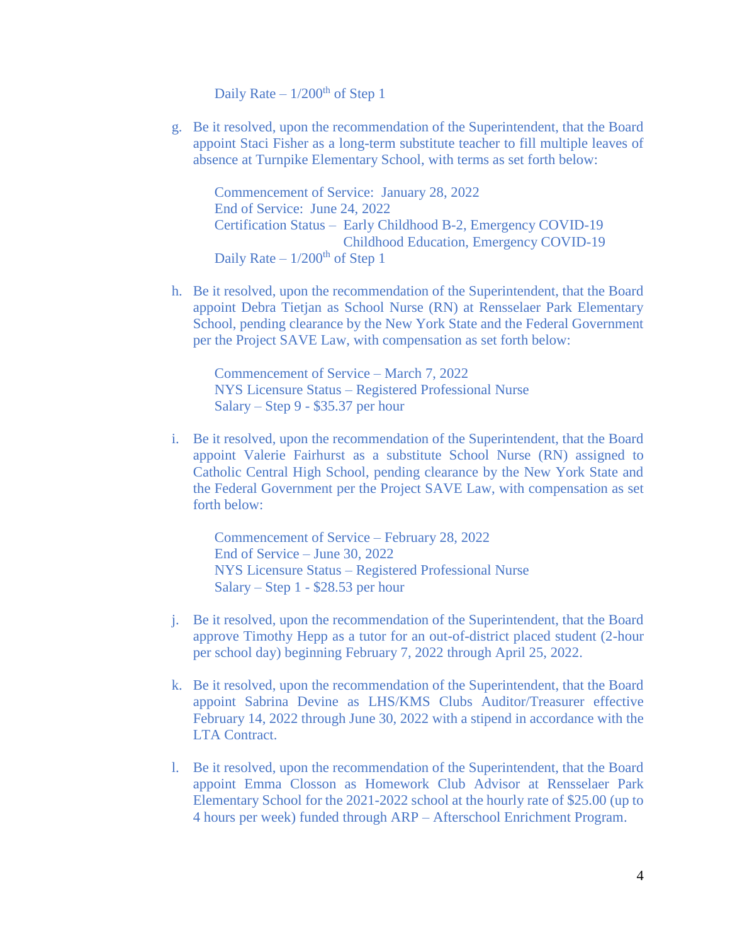Daily Rate –  $1/200<sup>th</sup>$  of Step 1

g. Be it resolved, upon the recommendation of the Superintendent, that the Board appoint Staci Fisher as a long-term substitute teacher to fill multiple leaves of absence at Turnpike Elementary School, with terms as set forth below:

Commencement of Service: January 28, 2022 End of Service: June 24, 2022 Certification Status – Early Childhood B-2, Emergency COVID-19 Childhood Education, Emergency COVID-19 Daily Rate –  $1/200$ <sup>th</sup> of Step 1

h. Be it resolved, upon the recommendation of the Superintendent, that the Board appoint Debra Tietjan as School Nurse (RN) at Rensselaer Park Elementary School, pending clearance by the New York State and the Federal Government per the Project SAVE Law, with compensation as set forth below:

Commencement of Service – March 7, 2022 NYS Licensure Status – Registered Professional Nurse Salary – Step 9 - \$35.37 per hour

i. Be it resolved, upon the recommendation of the Superintendent, that the Board appoint Valerie Fairhurst as a substitute School Nurse (RN) assigned to Catholic Central High School, pending clearance by the New York State and the Federal Government per the Project SAVE Law, with compensation as set forth below:

Commencement of Service – February 28, 2022 End of Service – June 30, 2022 NYS Licensure Status – Registered Professional Nurse Salary – Step 1 - \$28.53 per hour

- j. Be it resolved, upon the recommendation of the Superintendent, that the Board approve Timothy Hepp as a tutor for an out-of-district placed student (2-hour per school day) beginning February 7, 2022 through April 25, 2022.
- k. Be it resolved, upon the recommendation of the Superintendent, that the Board appoint Sabrina Devine as LHS/KMS Clubs Auditor/Treasurer effective February 14, 2022 through June 30, 2022 with a stipend in accordance with the LTA Contract.
- l. Be it resolved, upon the recommendation of the Superintendent, that the Board appoint Emma Closson as Homework Club Advisor at Rensselaer Park Elementary School for the 2021-2022 school at the hourly rate of \$25.00 (up to 4 hours per week) funded through ARP – Afterschool Enrichment Program.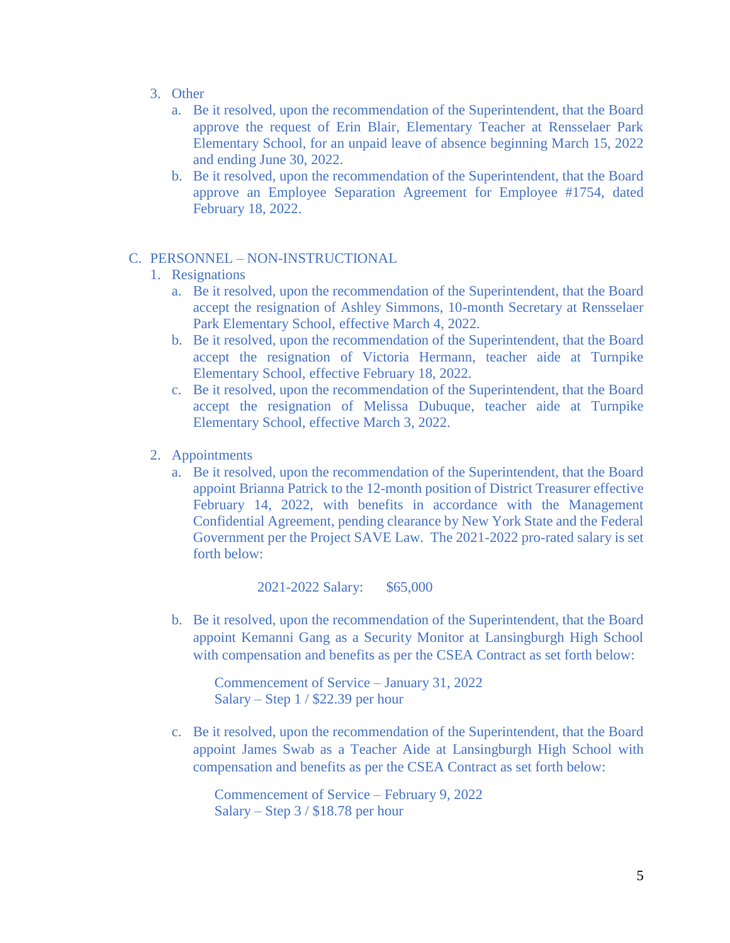- 3. Other
	- a. Be it resolved, upon the recommendation of the Superintendent, that the Board approve the request of Erin Blair, Elementary Teacher at Rensselaer Park Elementary School, for an unpaid leave of absence beginning March 15, 2022 and ending June 30, 2022.
	- b. Be it resolved, upon the recommendation of the Superintendent, that the Board approve an Employee Separation Agreement for Employee #1754, dated February 18, 2022.
- C. PERSONNEL NON-INSTRUCTIONAL
	- 1. Resignations
		- a. Be it resolved, upon the recommendation of the Superintendent, that the Board accept the resignation of Ashley Simmons, 10-month Secretary at Rensselaer Park Elementary School, effective March 4, 2022.
		- b. Be it resolved, upon the recommendation of the Superintendent, that the Board accept the resignation of Victoria Hermann, teacher aide at Turnpike Elementary School, effective February 18, 2022.
		- c. Be it resolved, upon the recommendation of the Superintendent, that the Board accept the resignation of Melissa Dubuque, teacher aide at Turnpike Elementary School, effective March 3, 2022.
	- 2. Appointments
		- a. Be it resolved, upon the recommendation of the Superintendent, that the Board appoint Brianna Patrick to the 12-month position of District Treasurer effective February 14, 2022, with benefits in accordance with the Management Confidential Agreement, pending clearance by New York State and the Federal Government per the Project SAVE Law. The 2021-2022 pro-rated salary is set forth below:

2021-2022 Salary: \$65,000

b. Be it resolved, upon the recommendation of the Superintendent, that the Board appoint Kemanni Gang as a Security Monitor at Lansingburgh High School with compensation and benefits as per the CSEA Contract as set forth below:

Commencement of Service – January 31, 2022 Salary – Step 1 / \$22.39 per hour

c. Be it resolved, upon the recommendation of the Superintendent, that the Board appoint James Swab as a Teacher Aide at Lansingburgh High School with compensation and benefits as per the CSEA Contract as set forth below:

Commencement of Service – February 9, 2022 Salary – Step 3 / \$18.78 per hour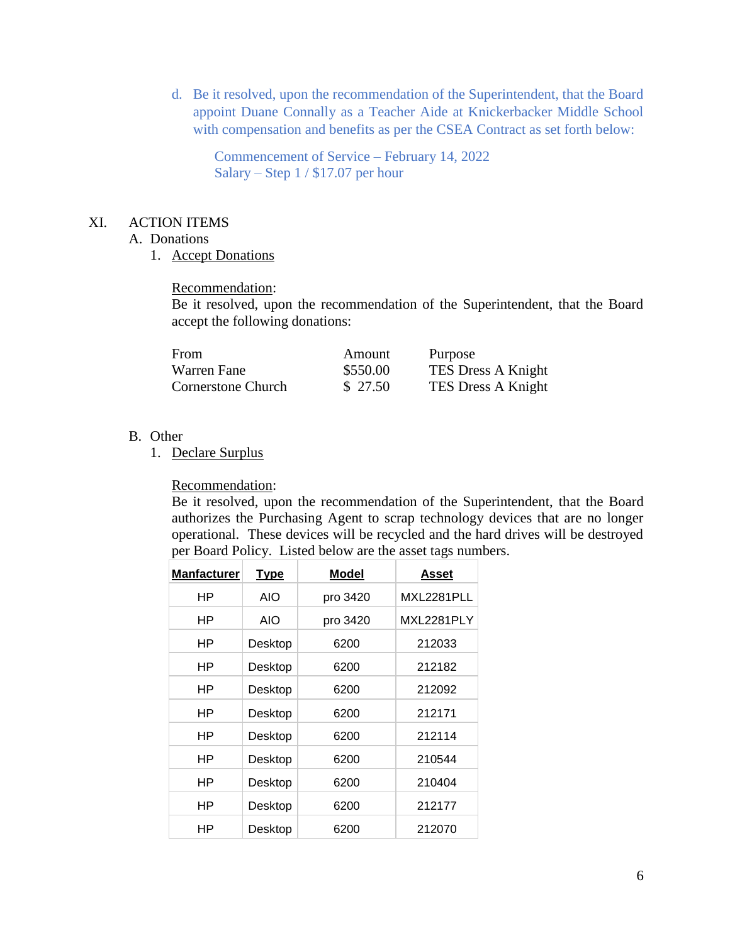d. Be it resolved, upon the recommendation of the Superintendent, that the Board appoint Duane Connally as a Teacher Aide at Knickerbacker Middle School with compensation and benefits as per the CSEA Contract as set forth below:

Commencement of Service – February 14, 2022 Salary – Step 1 / \$17.07 per hour

### XI. ACTION ITEMS

- A. Donations
	- 1. Accept Donations

#### Recommendation:

Be it resolved, upon the recommendation of the Superintendent, that the Board accept the following donations:

| From                      | Amount   | Purpose                   |
|---------------------------|----------|---------------------------|
| Warren Fane               | \$550.00 | <b>TES Dress A Knight</b> |
| <b>Cornerstone Church</b> | \$27.50  | TES Dress A Knight        |

#### B. Other

1. Declare Surplus

Recommendation:

Be it resolved, upon the recommendation of the Superintendent, that the Board authorizes the Purchasing Agent to scrap technology devices that are no longer operational. These devices will be recycled and the hard drives will be destroyed per Board Policy. Listed below are the asset tags numbers.

| <b>Manfacturer</b> | <u>Type</u> | <b>Model</b> | Asset      |
|--------------------|-------------|--------------|------------|
| ΗP                 | AIO         | pro 3420     | MXL2281PLL |
| ΗP                 | <b>AIO</b>  | pro 3420     | MXL2281PLY |
| ΗP                 | Desktop     | 6200         | 212033     |
| ΗP                 | Desktop     | 6200         | 212182     |
| ΗP                 | Desktop     | 6200         | 212092     |
| ΗP                 | Desktop     | 6200         | 212171     |
| ΗP                 | Desktop     | 6200         | 212114     |
| ΗP                 | Desktop     | 6200         | 210544     |
| ΗP                 | Desktop     | 6200         | 210404     |
| ΗP                 | Desktop     | 6200         | 212177     |
| ΗP                 | Desktop     | 6200         | 212070     |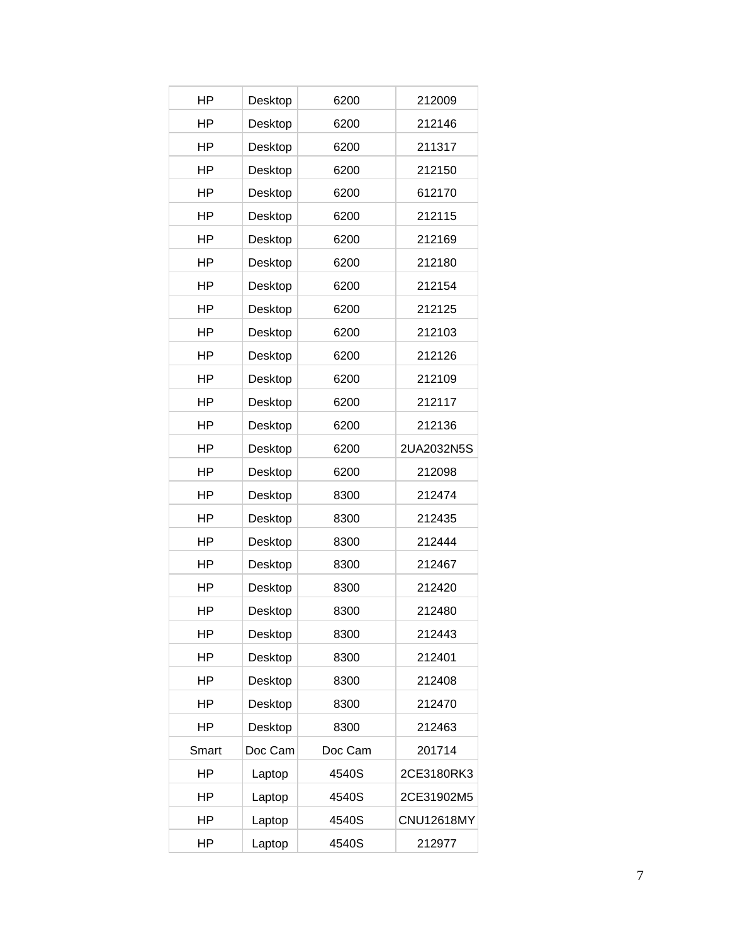| HP        | Desktop | 6200    | 212009            |
|-----------|---------|---------|-------------------|
| ΗP        | Desktop | 6200    | 212146            |
| ΗP        | Desktop | 6200    | 211317            |
| HP        | Desktop | 6200    | 212150            |
| HP        | Desktop | 6200    | 612170            |
| <b>HP</b> | Desktop | 6200    | 212115            |
| HP        | Desktop | 6200    | 212169            |
| ΗP        | Desktop | 6200    | 212180            |
| HP        | Desktop | 6200    | 212154            |
| ΗP        | Desktop | 6200    | 212125            |
| HP        | Desktop | 6200    | 212103            |
| HP        | Desktop | 6200    | 212126            |
| HP        | Desktop | 6200    | 212109            |
| HP        | Desktop | 6200    | 212117            |
| HP        | Desktop | 6200    | 212136            |
| ΗP        | Desktop | 6200    | 2UA2032N5S        |
| HP        | Desktop | 6200    | 212098            |
| HP        | Desktop | 8300    | 212474            |
| HP        | Desktop | 8300    | 212435            |
| HP        | Desktop | 8300    | 212444            |
| HP        | Desktop | 8300    | 212467            |
| HP        | Desktop | 8300    | 212420            |
| HP        | Desktop | 8300    | 212480            |
| HP        | Desktop | 8300    | 212443            |
| <b>HP</b> | Desktop | 8300    | 212401            |
| HP        | Desktop | 8300    | 212408            |
| HP        | Desktop | 8300    | 212470            |
| ΗP        | Desktop | 8300    | 212463            |
| Smart     | Doc Cam | Doc Cam | 201714            |
| HP        | Laptop  | 4540S   | 2CE3180RK3        |
| HP        | Laptop  | 4540S   | 2CE31902M5        |
| HP        | Laptop  | 4540S   | <b>CNU12618MY</b> |
| <b>HP</b> | Laptop  | 4540S   | 212977            |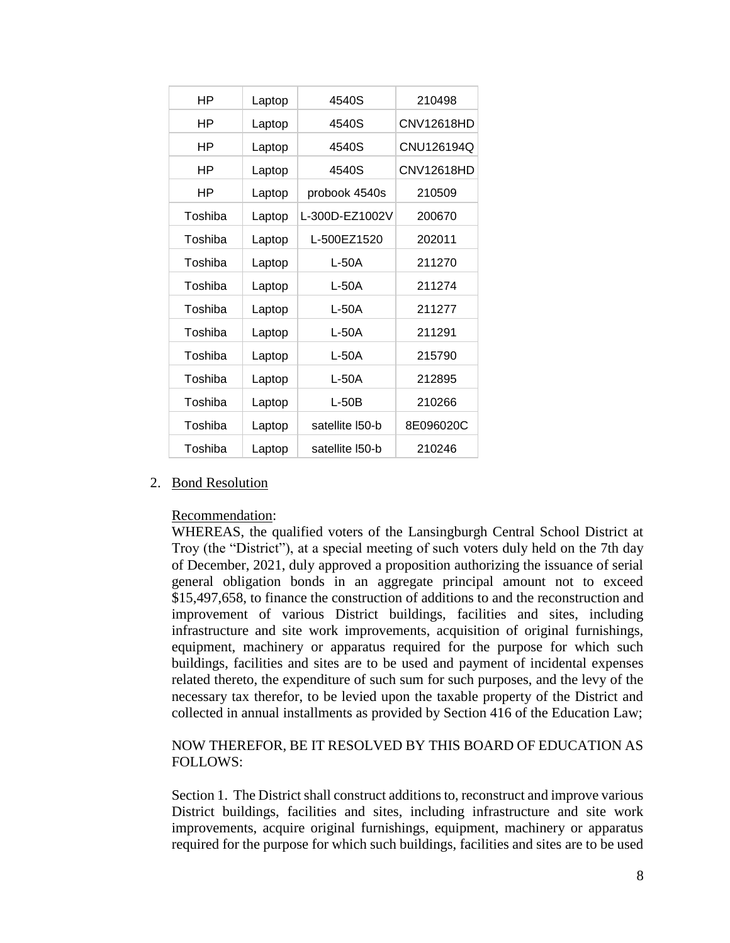| ΗP      | Laptop | 4540S           | 210498     |
|---------|--------|-----------------|------------|
| ΗP      | Laptop | 4540S           | CNV12618HD |
| ΗP      | Laptop | 4540S           | CNU126194Q |
| ΗP      | Laptop | 4540S           | CNV12618HD |
| ΗP      | Laptop | probook 4540s   | 210509     |
| Toshiba | Laptop | L-300D-EZ1002V  | 200670     |
| Toshiba | Laptop | L-500EZ1520     | 202011     |
| Toshiba | Laptop | $L-50A$         | 211270     |
| Toshiba | Laptop | L-50A           | 211274     |
| Toshiba | Laptop | L-50A           | 211277     |
| Toshiba | Laptop | L-50A           | 211291     |
| Toshiba | Laptop | L-50A           | 215790     |
| Toshiba | Laptop | L-50A           | 212895     |
| Toshiba | Laptop | $L-50B$         | 210266     |
| Toshiba | Laptop | satellite I50-b | 8E096020C  |
| Toshiba | Laptop | satellite I50-b | 210246     |
|         |        |                 |            |

### 2. Bond Resolution

#### Recommendation:

WHEREAS, the qualified voters of the Lansingburgh Central School District at Troy (the "District"), at a special meeting of such voters duly held on the 7th day of December, 2021, duly approved a proposition authorizing the issuance of serial general obligation bonds in an aggregate principal amount not to exceed \$15,497,658, to finance the construction of additions to and the reconstruction and improvement of various District buildings, facilities and sites, including infrastructure and site work improvements, acquisition of original furnishings, equipment, machinery or apparatus required for the purpose for which such buildings, facilities and sites are to be used and payment of incidental expenses related thereto, the expenditure of such sum for such purposes, and the levy of the necessary tax therefor, to be levied upon the taxable property of the District and collected in annual installments as provided by Section 416 of the Education Law;

## NOW THEREFOR, BE IT RESOLVED BY THIS BOARD OF EDUCATION AS FOLLOWS:

Section 1. The District shall construct additions to, reconstruct and improve various District buildings, facilities and sites, including infrastructure and site work improvements, acquire original furnishings, equipment, machinery or apparatus required for the purpose for which such buildings, facilities and sites are to be used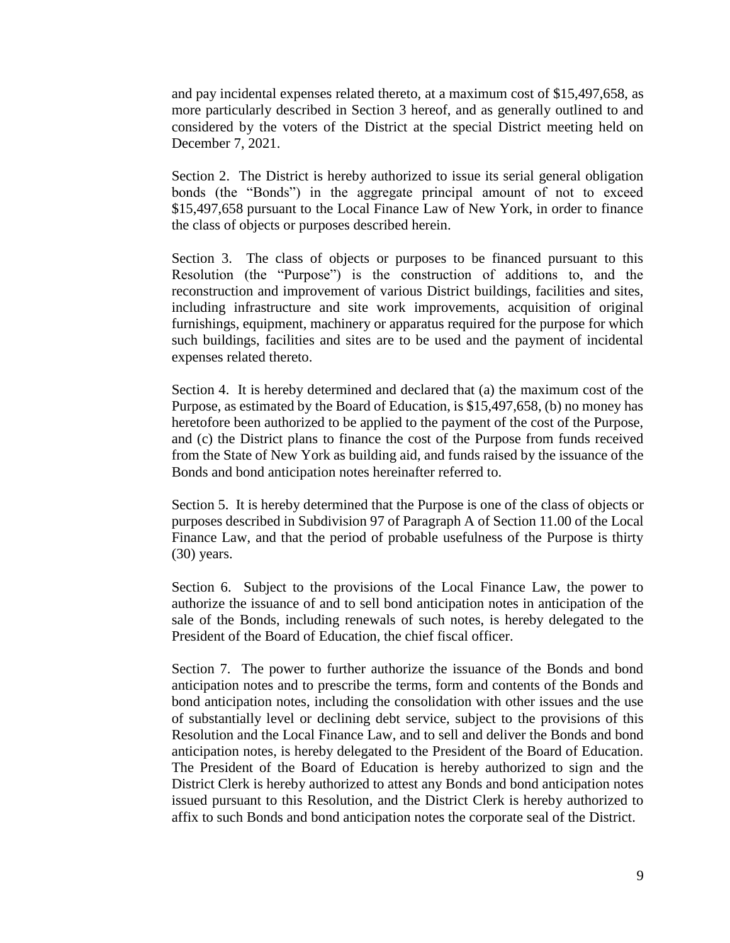and pay incidental expenses related thereto, at a maximum cost of \$15,497,658, as more particularly described in Section 3 hereof, and as generally outlined to and considered by the voters of the District at the special District meeting held on December 7, 2021.

Section 2. The District is hereby authorized to issue its serial general obligation bonds (the "Bonds") in the aggregate principal amount of not to exceed \$15,497,658 pursuant to the Local Finance Law of New York, in order to finance the class of objects or purposes described herein.

Section 3. The class of objects or purposes to be financed pursuant to this Resolution (the "Purpose") is the construction of additions to, and the reconstruction and improvement of various District buildings, facilities and sites, including infrastructure and site work improvements, acquisition of original furnishings, equipment, machinery or apparatus required for the purpose for which such buildings, facilities and sites are to be used and the payment of incidental expenses related thereto.

Section 4. It is hereby determined and declared that (a) the maximum cost of the Purpose, as estimated by the Board of Education, is \$15,497,658, (b) no money has heretofore been authorized to be applied to the payment of the cost of the Purpose, and (c) the District plans to finance the cost of the Purpose from funds received from the State of New York as building aid, and funds raised by the issuance of the Bonds and bond anticipation notes hereinafter referred to.

Section 5. It is hereby determined that the Purpose is one of the class of objects or purposes described in Subdivision 97 of Paragraph A of Section 11.00 of the Local Finance Law, and that the period of probable usefulness of the Purpose is thirty (30) years.

Section 6. Subject to the provisions of the Local Finance Law, the power to authorize the issuance of and to sell bond anticipation notes in anticipation of the sale of the Bonds, including renewals of such notes, is hereby delegated to the President of the Board of Education, the chief fiscal officer.

Section 7. The power to further authorize the issuance of the Bonds and bond anticipation notes and to prescribe the terms, form and contents of the Bonds and bond anticipation notes, including the consolidation with other issues and the use of substantially level or declining debt service, subject to the provisions of this Resolution and the Local Finance Law, and to sell and deliver the Bonds and bond anticipation notes, is hereby delegated to the President of the Board of Education. The President of the Board of Education is hereby authorized to sign and the District Clerk is hereby authorized to attest any Bonds and bond anticipation notes issued pursuant to this Resolution, and the District Clerk is hereby authorized to affix to such Bonds and bond anticipation notes the corporate seal of the District.